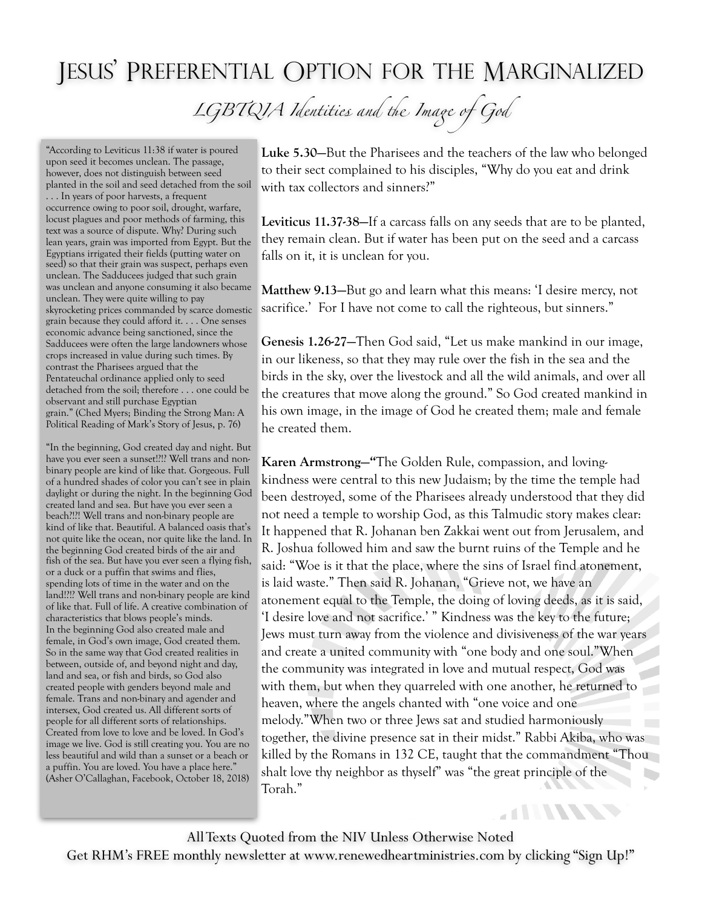## JESUS' PREFERENTIAL OPTION FOR THE MARGINALIZED

LGBTQIA Identities and the Image of God

"According to Leviticus 11:38 if water is poured upon seed it becomes unclean. The passage, however, does not distinguish between seed planted in the soil and seed detached from the soil . . . In years of poor harvests, a frequent occurrence owing to poor soil, drought, warfare, locust plagues and poor methods of farming, this text was a source of dispute. Why? During such lean years, grain was imported from Egypt. But the Egyptians irrigated their fields (putting water on seed) so that their grain was suspect, perhaps even unclean. The Sadducees judged that such grain was unclean and anyone consuming it also became unclean. They were quite willing to pay skyrocketing prices commanded by scarce domestic grain because they could afford it. . . . One senses economic advance being sanctioned, since the Sadducees were often the large landowners whose crops increased in value during such times. By contrast the Pharisees argued that the Pentateuchal ordinance applied only to seed detached from the soil; therefore . . . one could be observant and still purchase Egyptian grain." (Ched Myers; Binding the Strong Man: A Political Reading of Mark's Story of Jesus, p. 76)

"In the beginning, God created day and night. But have you ever seen a sunset!?!? Well trans and nonbinary people are kind of like that. Gorgeous. Full of a hundred shades of color you can't see in plain daylight or during the night. In the beginning God created land and sea. But have you ever seen a beach?!?! Well trans and non-binary people are kind of like that. Beautiful. A balanced oasis that's not quite like the ocean, nor quite like the land. In the beginning God created birds of the air and fish of the sea. But have you ever seen a flying fish, or a duck or a puffin that swims and flies, spending lots of time in the water and on the land!?!? Well trans and non-binary people are kind of like that. Full of life. A creative combination of characteristics that blows people's minds. In the beginning God also created male and female, in God's own image, God created them. So in the same way that God created realities in between, outside of, and beyond night and day, land and sea, or fish and birds, so God also created people with genders beyond male and female. Trans and non-binary and agender and intersex, God created us. All different sorts of people for all different sorts of relationships. Created from love to love and be loved. In God's image we live. God is still creating you. You are no less beautiful and wild than a sunset or a beach or a puffin. You are loved. You have a place here." (Asher O'Callaghan, Facebook, October 18, 2018)

**Luke 5.30—**But the Pharisees and the teachers of the law who belonged to their sect complained to his disciples, "Why do you eat and drink with tax collectors and sinners?"

**Leviticus 11.37-38—**If a carcass falls on any seeds that are to be planted, they remain clean. But if water has been put on the seed and a carcass falls on it, it is unclean for you.

**Matthew 9.13—**But go and learn what this means: 'I desire mercy, not sacrifice.' For I have not come to call the righteous, but sinners."

**Genesis 1.26-27—**Then God said, "Let us make mankind in our image, in our likeness, so that they may rule over the fish in the sea and the birds in the sky, over the livestock and all the wild animals, and over all the creatures that move along the ground." So God created mankind in his own image, in the image of God he created them; male and female he created them.

**Karen Armstrong—"**The Golden Rule, compassion, and lovingkindness were central to this new Judaism; by the time the temple had been destroyed, some of the Pharisees already understood that they did not need a temple to worship God, as this Talmudic story makes clear: It happened that R. Johanan ben Zakkai went out from Jerusalem, and R. Joshua followed him and saw the burnt ruins of the Temple and he said: "Woe is it that the place, where the sins of Israel find atonement, is laid waste." Then said R. Johanan, "Grieve not, we have an atonement equal to the Temple, the doing of loving deeds, as it is said, 'I desire love and not sacrifice.' " Kindness was the key to the future; Jews must turn away from the violence and divisiveness of the war years and create a united community with "one body and one soul."When the community was integrated in love and mutual respect, God was with them, but when they quarreled with one another, he returned to heaven, where the angels chanted with "one voice and one melody."When two or three Jews sat and studied harmoniously together, the divine presence sat in their midst." Rabbi Akiba, who was killed by the Romans in 132 CE, taught that the commandment "Thou shalt love thy neighbor as thyself" was "the great principle of the  $\mathbf{r}$ Torah."

**ATTITUDES** 

All Texts Quoted from the NIV Unless Otherwise Noted Get RHM's FREE monthly newsletter at [www.renewedheartministries.com](http://www.renewedheartministries.com) by clicking "Sign Up!"